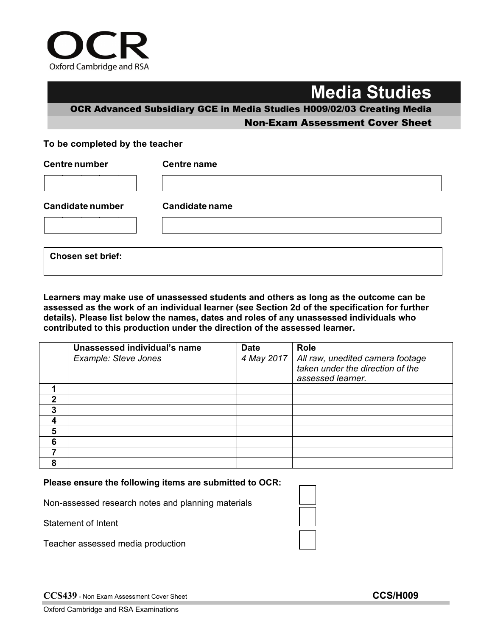

## **Media Studies**

OCR Advanced Subsidiary GCE in Media Studies H009/02/03 Creating Media Non-Exam Assessment Cover Sheet

## **To be completed by the teacher**

| <b>Centre number</b>     | <b>Centre name</b>    |  |  |
|--------------------------|-----------------------|--|--|
|                          |                       |  |  |
| <b>Candidate number</b>  | <b>Candidate name</b> |  |  |
|                          |                       |  |  |
|                          |                       |  |  |
| <b>Chosen set brief:</b> |                       |  |  |

**Learners may make use of unassessed students and others as long as the outcome can be assessed as the work of an individual learner (see Section 2d of the specification for further details). Please list below the names, dates and roles of any unassessed individuals who contributed to this production under the direction of the assessed learner.**

|   | Unassessed individual's name | <b>Date</b> | <b>Role</b>                                                                               |
|---|------------------------------|-------------|-------------------------------------------------------------------------------------------|
|   | Example: Steve Jones         | 4 May 2017  | All raw, unedited camera footage<br>taken under the direction of the<br>assessed learner. |
|   |                              |             |                                                                                           |
| 2 |                              |             |                                                                                           |
| 3 |                              |             |                                                                                           |
|   |                              |             |                                                                                           |
| 5 |                              |             |                                                                                           |
| 6 |                              |             |                                                                                           |
|   |                              |             |                                                                                           |
| 8 |                              |             |                                                                                           |

## **Please ensure the following items are submitted to OCR:**

Non-assessed research notes and planning materials

Statement of Intent

Teacher assessed media production